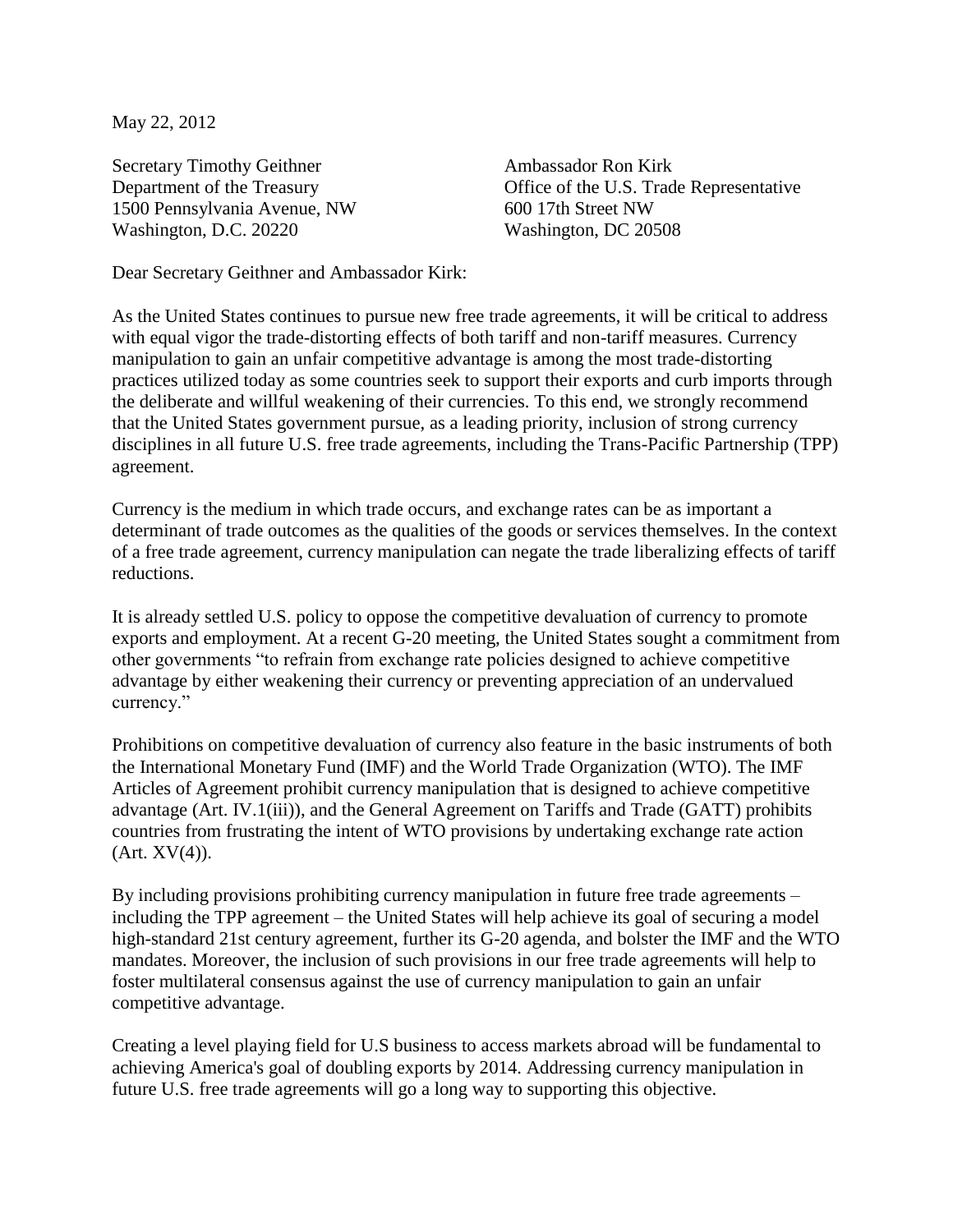May 22, 2012

Secretary Timothy Geithner **Ambassador Ron Kirk** 1500 Pennsylvania Avenue, NW 600 17th Street NW Washington, D.C. 20220 Washington, DC 20508

Department of the Treasury Office of the U.S. Trade Representative

Dear Secretary Geithner and Ambassador Kirk:

As the United States continues to pursue new free trade agreements, it will be critical to address with equal vigor the trade-distorting effects of both tariff and non-tariff measures. Currency manipulation to gain an unfair competitive advantage is among the most trade-distorting practices utilized today as some countries seek to support their exports and curb imports through the deliberate and willful weakening of their currencies. To this end, we strongly recommend that the United States government pursue, as a leading priority, inclusion of strong currency disciplines in all future U.S. free trade agreements, including the Trans-Pacific Partnership (TPP) agreement.

Currency is the medium in which trade occurs, and exchange rates can be as important a determinant of trade outcomes as the qualities of the goods or services themselves. In the context of a free trade agreement, currency manipulation can negate the trade liberalizing effects of tariff reductions.

It is already settled U.S. policy to oppose the competitive devaluation of currency to promote exports and employment. At a recent G-20 meeting, the United States sought a commitment from other governments "to refrain from exchange rate policies designed to achieve competitive advantage by either weakening their currency or preventing appreciation of an undervalued currency."

Prohibitions on competitive devaluation of currency also feature in the basic instruments of both the International Monetary Fund (IMF) and the World Trade Organization (WTO). The IMF Articles of Agreement prohibit currency manipulation that is designed to achieve competitive advantage (Art. IV.1(iii)), and the General Agreement on Tariffs and Trade (GATT) prohibits countries from frustrating the intent of WTO provisions by undertaking exchange rate action  $(Art. XV(4)).$ 

By including provisions prohibiting currency manipulation in future free trade agreements – including the TPP agreement – the United States will help achieve its goal of securing a model high-standard 21st century agreement, further its G-20 agenda, and bolster the IMF and the WTO mandates. Moreover, the inclusion of such provisions in our free trade agreements will help to foster multilateral consensus against the use of currency manipulation to gain an unfair competitive advantage.

Creating a level playing field for U.S business to access markets abroad will be fundamental to achieving America's goal of doubling exports by 2014. Addressing currency manipulation in future U.S. free trade agreements will go a long way to supporting this objective.